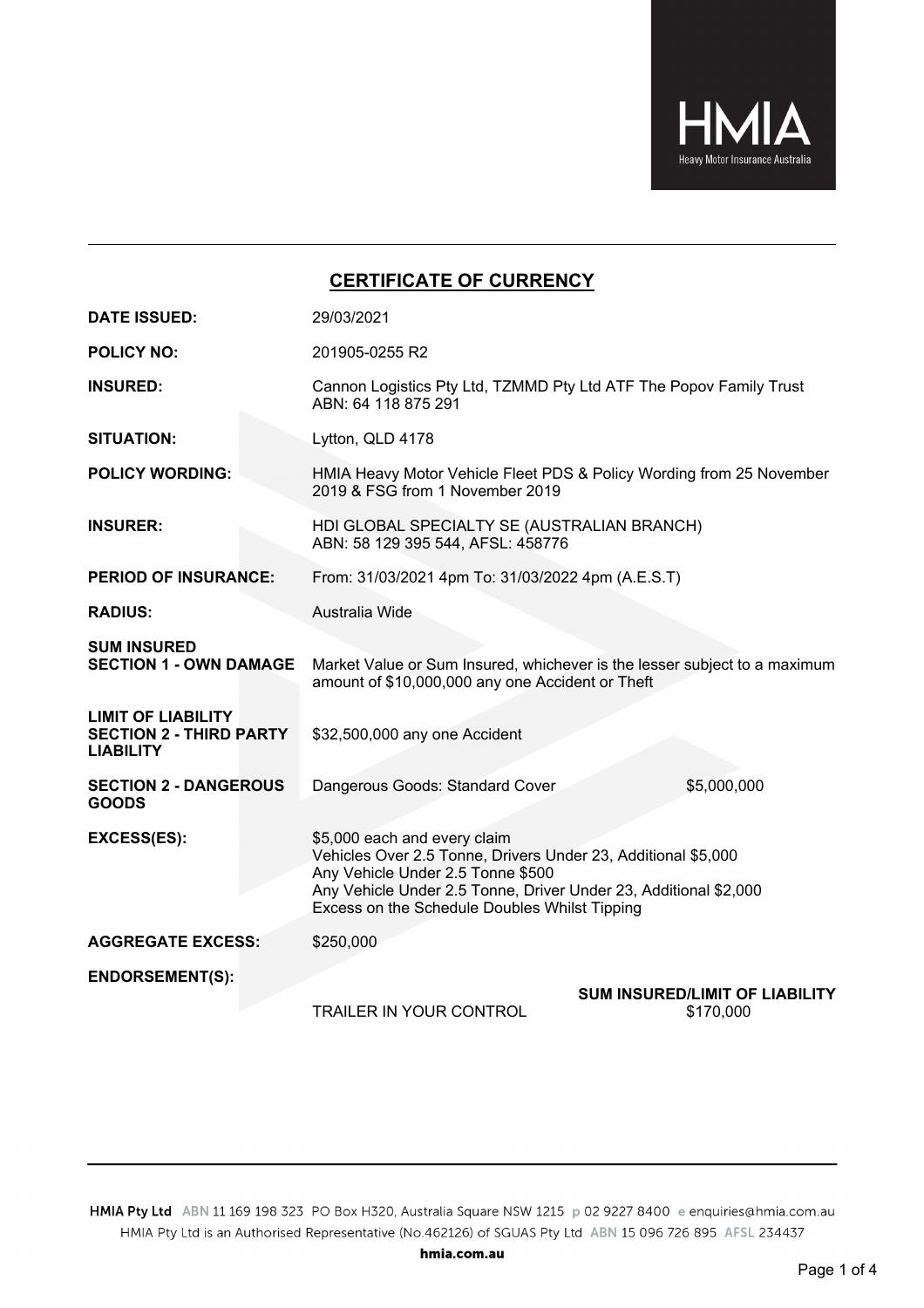

## **CERTIFICATE OF CURRENCY**

| <b>DATE ISSUED:</b>                                                             | 29/03/2021                                                                                                                                                                                                                                              |  |  |  |  |  |  |
|---------------------------------------------------------------------------------|---------------------------------------------------------------------------------------------------------------------------------------------------------------------------------------------------------------------------------------------------------|--|--|--|--|--|--|
| <b>POLICY NO:</b>                                                               | 201905-0255 R2                                                                                                                                                                                                                                          |  |  |  |  |  |  |
| <b>INSURED:</b>                                                                 | Cannon Logistics Pty Ltd, TZMMD Pty Ltd ATF The Popov Family Trust<br>ABN: 64 118 875 291                                                                                                                                                               |  |  |  |  |  |  |
| <b>SITUATION:</b>                                                               | Lytton, QLD 4178                                                                                                                                                                                                                                        |  |  |  |  |  |  |
| <b>POLICY WORDING:</b>                                                          | HMIA Heavy Motor Vehicle Fleet PDS & Policy Wording from 25 November<br>2019 & FSG from 1 November 2019                                                                                                                                                 |  |  |  |  |  |  |
| <b>INSURER:</b>                                                                 | HDI GLOBAL SPECIALTY SE (AUSTRALIAN BRANCH)<br>ABN: 58 129 395 544, AFSL: 458776                                                                                                                                                                        |  |  |  |  |  |  |
| <b>PERIOD OF INSURANCE:</b>                                                     | From: 31/03/2021 4pm To: 31/03/2022 4pm (A.E.S.T)                                                                                                                                                                                                       |  |  |  |  |  |  |
| <b>RADIUS:</b>                                                                  | Australia Wide                                                                                                                                                                                                                                          |  |  |  |  |  |  |
| <b>SUM INSURED</b><br><b>SECTION 1 - OWN DAMAGE</b>                             | Market Value or Sum Insured, whichever is the lesser subject to a maximum<br>amount of \$10,000,000 any one Accident or Theft                                                                                                                           |  |  |  |  |  |  |
| <b>LIMIT OF LIABILITY</b><br><b>SECTION 2 - THIRD PARTY</b><br><b>LIABILITY</b> | \$32,500,000 any one Accident                                                                                                                                                                                                                           |  |  |  |  |  |  |
| <b>SECTION 2 - DANGEROUS</b><br><b>GOODS</b>                                    | \$5,000,000<br>Dangerous Goods: Standard Cover                                                                                                                                                                                                          |  |  |  |  |  |  |
| EXCESS(ES):                                                                     | \$5,000 each and every claim<br>Vehicles Over 2.5 Tonne, Drivers Under 23, Additional \$5,000<br>Any Vehicle Under 2.5 Tonne \$500<br>Any Vehicle Under 2.5 Tonne, Driver Under 23, Additional \$2,000<br>Excess on the Schedule Doubles Whilst Tipping |  |  |  |  |  |  |
| <b>AGGREGATE EXCESS:</b>                                                        | \$250,000                                                                                                                                                                                                                                               |  |  |  |  |  |  |
| <b>ENDORSEMENT(S):</b>                                                          | <b>SUM INSURED/LIMIT OF LIABILITY</b><br><b>TRAILER IN YOUR CONTROL</b><br>\$170,000                                                                                                                                                                    |  |  |  |  |  |  |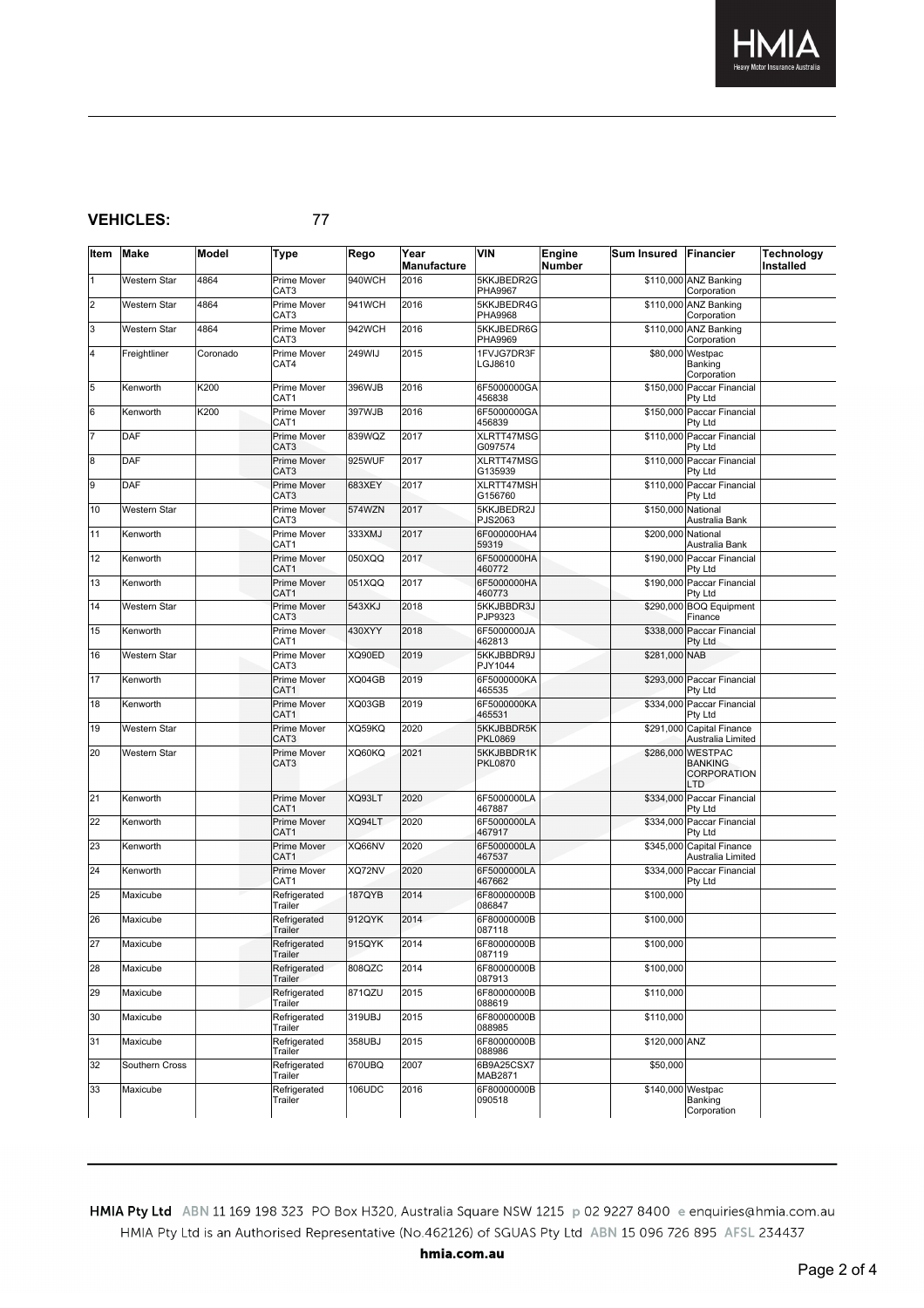

## **VEHICLES:** 77

| Item      | <b>Make</b>         | Model    | <b>Type</b>                            | Rego   | Year<br>Manufacture | <b>VIN</b>                   | Engine<br><b>Number</b> | Sum Insured Financier |                                                           | <b>Technology</b><br>Installed |
|-----------|---------------------|----------|----------------------------------------|--------|---------------------|------------------------------|-------------------------|-----------------------|-----------------------------------------------------------|--------------------------------|
| $\vert$ 1 | Western Star        | 4864     | Prime Mover<br>CAT <sub>3</sub>        | 940WCH | 2016                | 5KKJBEDR2G<br><b>PHA9967</b> |                         |                       | \$110,000 ANZ Banking<br>Corporation                      |                                |
| 2         | Western Star        | 4864     | Prime Mover<br>CAT3                    | 941WCH | 2016                | 5KKJBEDR4G<br>PHA9968        |                         |                       | \$110,000 ANZ Banking<br>Corporation                      |                                |
| 3         | Western Star        | 4864     | Prime Mover<br>CAT3                    | 942WCH | 2016                | 5KKJBEDR6G<br>PHA9969        |                         |                       | \$110,000 ANZ Banking<br>Corporation                      |                                |
| 4         | Freightliner        | Coronado | Prime Mover<br>CAT4                    | 249WIJ | 2015                | 1FVJG7DR3F<br>LGJ8610        |                         |                       | \$80,000 Westpac<br>Banking<br>Corporation                |                                |
| 5         | Kenworth            | K200     | Prime Mover<br>CAT1                    | 396WJB | 2016                | 6F5000000GA<br>456838        |                         |                       | \$150,000 Paccar Financial<br>Pty Ltd                     |                                |
| 6         | Kenworth            | K200     | Prime Mover<br>CAT1                    | 397WJB | 2016                | 6F5000000GA<br>456839        |                         |                       | \$150,000 Paccar Financial<br>Pty Ltd                     |                                |
| 17        | DAF                 |          | Prime Mover<br>CAT <sub>3</sub>        | 839WQZ | 2017                | XLRTT47MSG<br>G097574        |                         |                       | \$110,000 Paccar Financial<br>Pty Ltd                     |                                |
| 8         | <b>DAF</b>          |          | Prime Mover<br>CAT <sub>3</sub>        | 925WUF | 2017                | XLRTT47MSG<br>G135939        |                         |                       | \$110,000 Paccar Financial<br>Pty Ltd                     |                                |
| g         | <b>DAF</b>          |          | Prime Mover<br>CAT3                    | 683XEY | 2017                | XLRTT47MSH<br>G156760        |                         |                       | \$110,000 Paccar Financial<br>Pty Ltd                     |                                |
| 10        | Western Star        |          | Prime Mover<br>CAT3                    | 574WZN | 2017                | 5KKJBEDR2J<br>PJS2063        |                         | \$150,000 National    | Australia Bank                                            |                                |
| 11        | Kenworth            |          | Prime Mover<br>CAT1                    | 333XMJ | 2017                | 6F000000HA4<br>59319         |                         | \$200,000 National    | Australia Bank                                            |                                |
| 12        | Kenworth            |          | Prime Mover<br>CAT <sub>1</sub>        | 050XQQ | 2017                | 6F5000000HA<br>460772        |                         |                       | \$190,000 Paccar Financial<br>Pty Ltd                     |                                |
| 13        | Kenworth            |          | Prime Mover<br>CAT1                    | 051XQQ | 2017                | 6F5000000HA<br>460773        |                         |                       | \$190,000 Paccar Financial<br>Pty Ltd                     |                                |
| 14        | Western Star        |          | Prime Mover<br>CAT <sub>3</sub>        | 543XKJ | 2018                | 5KKJBBDR3J<br>PJP9323        |                         |                       | \$290,000 BOQ Equipment<br>Finance                        |                                |
| 15        | Kenworth            |          | Prime Mover<br>CAT1                    | 430XYY | 2018                | 6F5000000JA<br>462813        |                         |                       | \$338,000 Paccar Financial<br>Pty Ltd                     |                                |
| 16        | Western Star        |          | Prime Mover<br>CAT3                    | XQ90ED | 2019                | 5KKJBBDR9J<br>PJY1044        |                         | \$281,000 NAB         |                                                           |                                |
| 17        | Kenworth            |          | Prime Mover<br>CAT1                    | XQ04GB | 2019                | 6F5000000KA<br>465535        |                         |                       | \$293,000 Paccar Financial<br>Pty Ltd                     |                                |
| 18        | Kenworth            |          | Prime Mover<br>CAT1                    | XQ03GB | 2019                | 6F5000000KA<br>465531        |                         |                       | \$334,000 Paccar Financial<br>Pty Ltd                     |                                |
| 19        | Western Star        |          | Prime Mover<br>CAT3                    | XQ59KQ | 2020                | 5KKJBBDR5K<br><b>PKL0869</b> |                         |                       | \$291,000 Capital Finance<br>Australia Limited            |                                |
| 20        | <b>Western Star</b> |          | Prime Mover<br>CAT3                    | XQ60KQ | 2021                | 5KKJBBDR1K<br><b>PKL0870</b> |                         |                       | \$286,000 WESTPAC<br><b>BANKING</b><br>CORPORATION<br>LTD |                                |
| 21        | Kenworth            |          | <b>Prime Mover</b><br>CAT <sub>1</sub> | XQ93LT | 2020                | 6F5000000LA<br>467887        |                         |                       | \$334,000 Paccar Financial<br>Pty Ltd                     |                                |
| 22        | Kenworth            |          | Prime Mover<br>CAT1                    | XQ94LT | 2020                | 6F5000000LA<br>467917        |                         |                       | \$334,000 Paccar Financial<br>Pty Ltd                     |                                |
| 23        | Kenworth            |          | Prime Mover<br>CAT <sub>1</sub>        | XQ66NV | 2020                | 6F5000000LA<br>467537        |                         |                       | \$345,000 Capital Finance<br>Australia Limited            |                                |
| 24        | Kenworth            |          | Prime Mover<br>CAT1                    | XQ72NV | 2020                | 6F5000000LA<br>467662        |                         |                       | \$334,000 Paccar Financial<br>Pty Ltd                     |                                |
| 25        | Maxicube            |          | Refrigerated<br>Trailer                | 187QYB | 2014                | 6F80000000B<br>086847        |                         | \$100,000             |                                                           |                                |
| 26        | Maxicube            |          | Refrigerated<br>Trailer                | 912QYK | 2014                | 6F80000000B<br>087118        |                         | \$100,000             |                                                           |                                |
| 27        | Maxicube            |          | Refrigerated<br>Trailer                | 915QYK | 2014                | 6F80000000B<br>087119        |                         | \$100,000             |                                                           |                                |
| 28        | Maxicube            |          | Refrigerated<br>Trailer                | 808QZC | 2014                | 6F80000000B<br>087913        |                         | \$100,000             |                                                           |                                |
| 29        | Maxicube            |          | Refrigerated<br>Trailer                | 871QZU | 2015                | 6F80000000B<br>088619        |                         | \$110,000             |                                                           |                                |
| 30        | Maxicube            |          | Refrigerated<br>Trailer                | 319UBJ | 2015                | 6F80000000B<br>088985        |                         | \$110,000             |                                                           |                                |
| 31        | Maxicube            |          | Refrigerated<br>Trailer                | 358UBJ | 2015                | 6F80000000B<br>088986        |                         | \$120,000 ANZ         |                                                           |                                |
| 32        | Southern Cross      |          | Refrigerated<br>Trailer                | 670UBQ | 2007                | 6B9A25CSX7<br>MAB2871        |                         | \$50,000              |                                                           |                                |
| 33        | Maxicube            |          | Refrigerated<br>Trailer                | 106UDC | 2016                | 6F80000000B<br>090518        |                         | \$140,000 Westpac     | Banking<br>Corporation                                    |                                |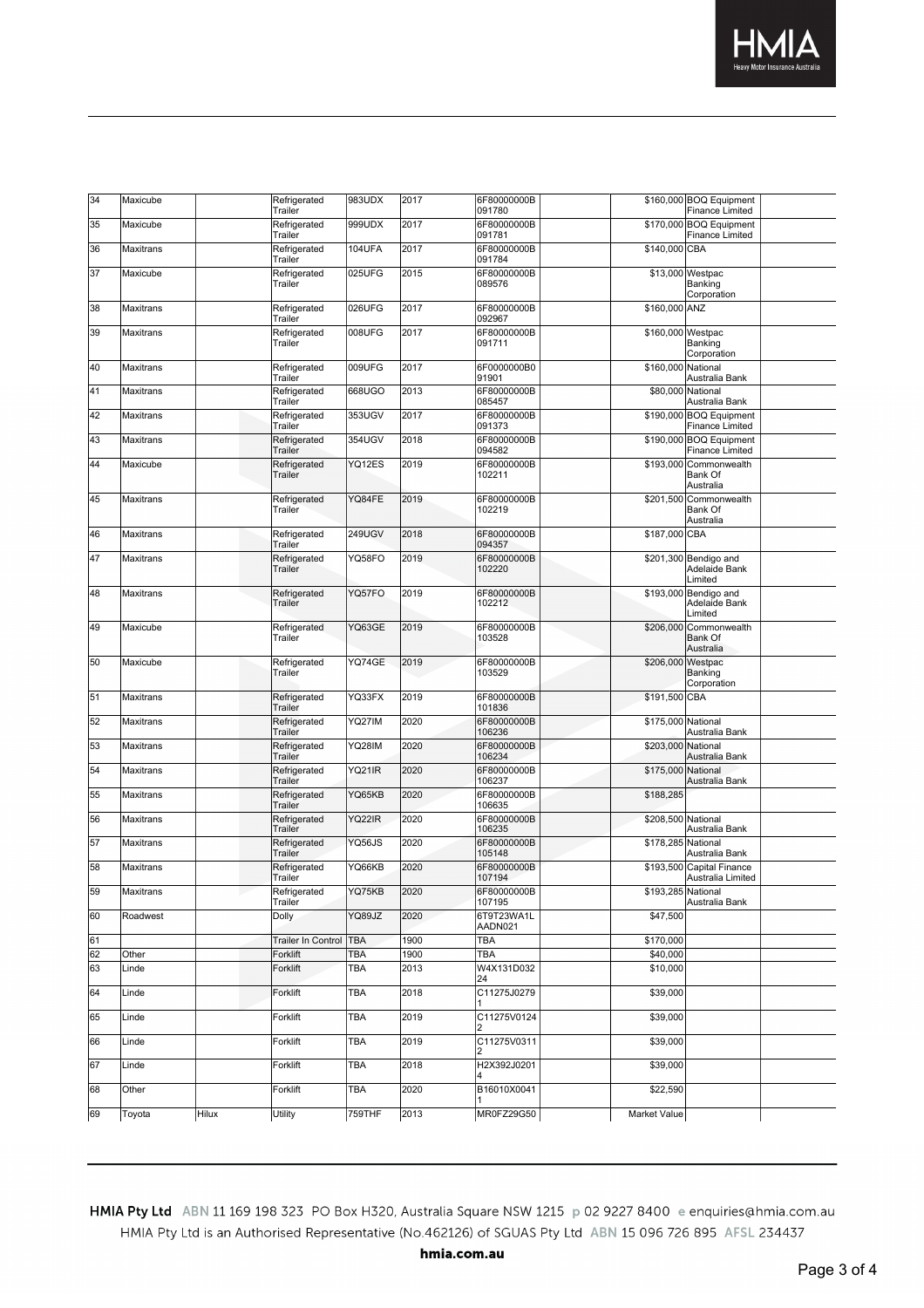

| 34 | Maxicube         |       | Refrigerated<br>Trailer | 983UDX        | 2017 | 6F80000000B<br>091780 |                    | \$160,000 BOQ Equipment<br><b>Finance Limited</b> |  |
|----|------------------|-------|-------------------------|---------------|------|-----------------------|--------------------|---------------------------------------------------|--|
| 35 | Maxicube         |       | Refrigerated<br>Trailer | 999UDX        | 2017 | 6F80000000B<br>091781 |                    | \$170,000 BOQ Equipment<br>Finance Limited        |  |
| 36 | Maxitrans        |       | Refrigerated<br>Trailer | <b>104UFA</b> | 2017 | 6F80000000B<br>091784 | \$140,000 CBA      |                                                   |  |
| 37 | Maxicube         |       | Refrigerated<br>Trailer | 025UFG        | 2015 | 6F80000000B<br>089576 |                    | \$13,000 Westpac<br>Banking<br>Corporation        |  |
| 38 | Maxitrans        |       | Refrigerated<br>Trailer | 026UFG        | 2017 | 6F80000000B<br>092967 | \$160,000 ANZ      |                                                   |  |
| 39 | Maxitrans        |       | Refrigerated<br>Trailer | 008UFG        | 2017 | 6F80000000B<br>091711 | \$160,000 Westpac  | Banking<br>Corporation                            |  |
| 40 | Maxitrans        |       | Refrigerated<br>Trailer | 009UFG        | 2017 | 6F0000000B0<br>91901  | \$160,000 National | Australia Bank                                    |  |
| 41 | Maxitrans        |       | Refrigerated<br>Trailer | 668UGO        | 2013 | 6F80000000B<br>085457 | \$80,000 National  | Australia Bank                                    |  |
| 42 | Maxitrans        |       | Refrigerated<br>Trailer | 353UGV        | 2017 | 6F80000000B<br>091373 |                    | \$190.000 BOQ Equipment<br>Finance Limited        |  |
| 43 | Maxitrans        |       | Refrigerated<br>Trailer | 354UGV        | 2018 | 6F80000000B<br>094582 |                    | \$190,000 BOQ Equipment<br><b>Finance Limited</b> |  |
| 44 | Maxicube         |       | Refrigerated<br>Trailer | YQ12ES        | 2019 | 6F80000000B<br>102211 |                    | \$193,000 Commonwealth<br>Bank Of<br>Australia    |  |
| 45 | Maxitrans        |       | Refrigerated<br>Trailer | YQ84FE        | 2019 | 6F80000000B<br>102219 |                    | \$201,500 Commonwealth<br>Bank Of<br>Australia    |  |
| 46 | Maxitrans        |       | Refrigerated<br>Trailer | <b>249UGV</b> | 2018 | 6F80000000B<br>094357 | \$187,000 CBA      |                                                   |  |
| 47 | Maxitrans        |       | Refrigerated<br>Trailer | YQ58FO        | 2019 | 6F80000000B<br>102220 |                    | \$201,300 Bendigo and<br>Adelaide Bank<br>Limited |  |
| 48 | Maxitrans        |       | Refrigerated<br>Trailer | YQ57FO        | 2019 | 6F80000000B<br>102212 |                    | \$193,000 Bendigo and<br>Adelaide Bank<br>Limited |  |
| 49 | Maxicube         |       | Refrigerated<br>Trailer | YQ63GE        | 2019 | 6F80000000B<br>103528 |                    | \$206,000 Commonwealth<br>Bank Of<br>Australia    |  |
| 50 | Maxicube         |       | Refrigerated<br>Trailer | YQ74GE        | 2019 | 6F80000000B<br>103529 | \$206,000 Westpac  | Banking<br>Corporation                            |  |
| 51 | Maxitrans        |       | Refrigerated<br>Trailer | YQ33FX        | 2019 | 6F80000000B<br>101836 | \$191,500 CBA      |                                                   |  |
| 52 | Maxitrans        |       | Refrigerated<br>Trailer | YQ27IM        | 2020 | 6F80000000B<br>106236 | \$175,000 National | Australia Bank                                    |  |
| 53 | Maxitrans        |       | Refrigerated<br>Trailer | <b>YQ28IM</b> | 2020 | 6F80000000B<br>106234 | \$203,000 National | Australia Bank                                    |  |
| 54 | Maxitrans        |       | Refrigerated<br>Trailer | YQ21IR        | 2020 | 6F80000000B<br>106237 | \$175,000 National | Australia Bank                                    |  |
| 55 | Maxitrans        |       | Refrigerated<br>Trailer | YQ65KB        | 2020 | 6F80000000B<br>106635 | \$188,285          |                                                   |  |
| 56 | Maxitrans        |       | Refrigerated<br>Trailer | <b>YQ22IR</b> | 2020 | 6F80000000B<br>106235 | \$208,500 National | Australia Bank                                    |  |
| 57 | Maxitrans        |       | Refrigerated<br>Trailer | YQ56JS        | 2020 | 6F80000000B<br>105148 | \$178,285 National | Australia Bank                                    |  |
| 58 | <b>Maxitrans</b> |       | Refrigerated<br>Trailer | YQ66KB        | 2020 | 6F80000000B<br>107194 |                    | \$193,500 Capital Finance<br>Australia Limited    |  |
| 59 | Maxitrans        |       | Refrigerated<br>Trailer | YQ75KB        | 2020 | 6F80000000B<br>107195 | \$193,285 National | Australia Bank                                    |  |
| 60 | Roadwest         |       | Dolly                   | YQ89JZ        | 2020 | 6T9T23WA1L<br>AADN021 | \$47,500           |                                                   |  |
| 61 |                  |       | Trailer In Control TBA  |               | 1900 | <b>TBA</b>            | \$170,000          |                                                   |  |
| 62 | Other            |       | Forklift                | <b>TBA</b>    | 1900 | <b>TBA</b>            | \$40,000           |                                                   |  |
| 63 | Linde            |       | Forklift                | <b>TBA</b>    | 2013 | W4X131D032<br>24      | \$10,000           |                                                   |  |
| 64 | Linde            |       | Forklift                | <b>TBA</b>    | 2018 | C11275J0279           | \$39,000           |                                                   |  |
| 65 | Linde            |       | Forklift                | <b>TBA</b>    | 2019 | C11275V0124           | \$39,000           |                                                   |  |
| 66 | Linde            |       | Forklift                | <b>TBA</b>    | 2019 | C11275V0311<br>2      | \$39,000           |                                                   |  |
| 67 | Linde            |       | Forklift                | <b>TBA</b>    | 2018 | H2X392J0201           | \$39,000           |                                                   |  |
| 68 | Other            |       | Forklift                | <b>TBA</b>    | 2020 | B16010X0041           | \$22,590           |                                                   |  |
| 69 | Toyota           | Hilux | Utility                 | 759THF        | 2013 | MR0FZ29G50            | Market Value       |                                                   |  |